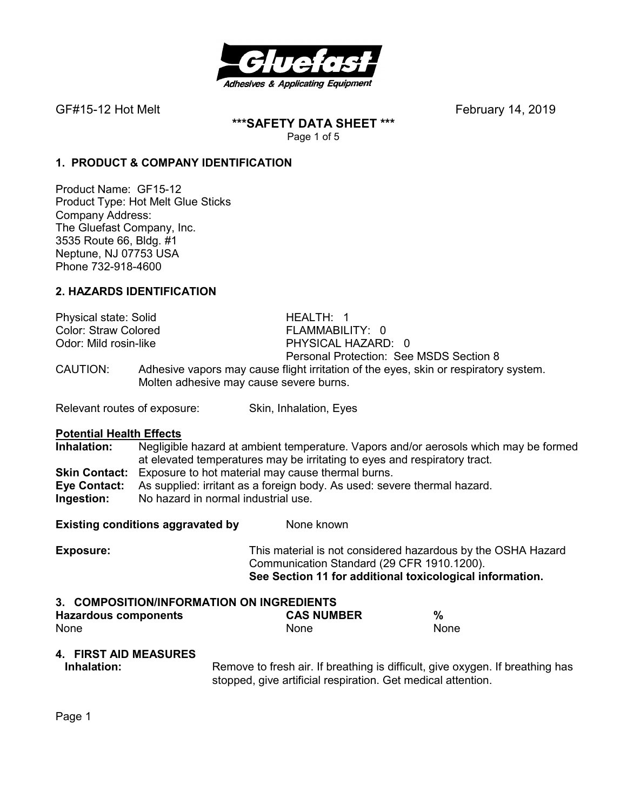

**\*\*\*SAFETY DATA SHEET \*\*\***  Page 1 of 5

### **1. PRODUCT & COMPANY IDENTIFICATION**

Product Name: GF15-12 Product Type: Hot Melt Glue Sticks Company Address: The Gluefast Company, Inc. 3535 Route 66, Bldg. #1 Neptune, NJ 07753 USA Phone 732-918-4600

### **2. HAZARDS IDENTIFICATION**

| Physical state: Solid       |                                                                                                                                 | HEALTH: 1                               |
|-----------------------------|---------------------------------------------------------------------------------------------------------------------------------|-----------------------------------------|
| <b>Color: Straw Colored</b> |                                                                                                                                 | FLAMMABILITY: 0                         |
| Odor: Mild rosin-like       |                                                                                                                                 | PHYSICAL HAZARD: 0                      |
|                             |                                                                                                                                 | Personal Protection: See MSDS Section 8 |
| CAUTION:                    | Adhesive vapors may cause flight irritation of the eyes, skin or respiratory system.<br>Molten adhesive may cause severe burns. |                                         |

Relevant routes of exposure: Skin, Inhalation, Eyes

**Potential Health Effects**<br> **Inhalation:** Negligible **Inhalation:** Negligible hazard at ambient temperature. Vapors and/or aerosols which may be formed at elevated temperatures may be irritating to eyes and respiratory tract. **Skin Contact:** Exposure to hot material may cause thermal burns. **Eye Contact:** As supplied: irritant as a foreign body. As used: severe thermal hazard. **Ingestion:** No hazard in normal industrial use.

**Existing conditions aggravated by Solve Representions and None known** 

**Exposure:** This material is not considered hazardous by the OSHA Hazard Communication Standard (29 CFR 1910.1200). **See Section 11 for additional toxicological information.** 

#### **3. COMPOSITION/INFORMATION ON INGREDIENTS Hazardous components CAS NUMBER %**  None None None

# **4. FIRST AID MEASURES**

**Inhalation:** Remove to fresh air. If breathing is difficult, give oxygen. If breathing has stopped, give artificial respiration. Get medical attention.

Page 1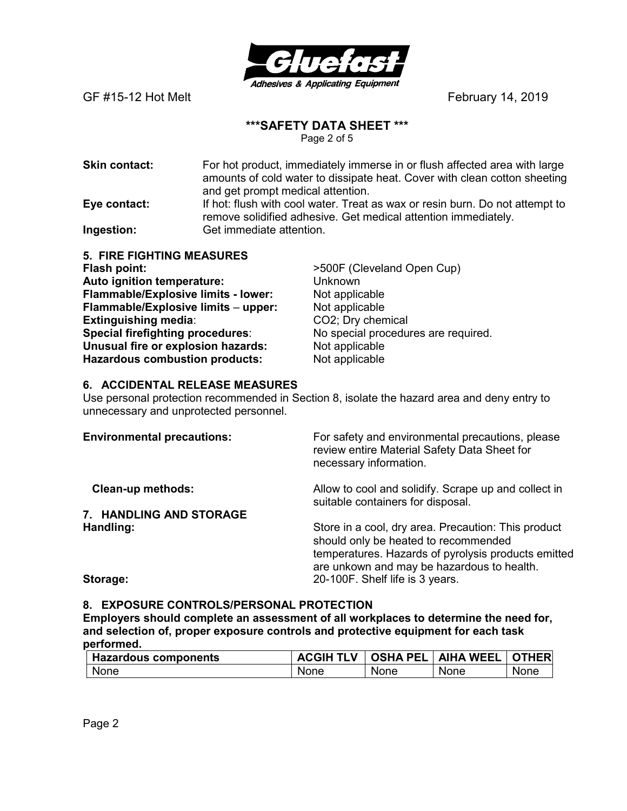

# **\*\*\*SAFETY DATA SHEET \*\*\***

Page 2 of 5

**Skin contact:** For hot product, immediately immerse in or flush affected area with large amounts of cold water to dissipate heat. Cover with clean cotton sheeting and get prompt medical attention. **Eye contact:** If hot: flush with cool water. Treat as wax or resin burn. Do not attempt to remove solidified adhesive. Get medical attention immediately.

**Ingestion:** Get immediate attention.

**5. FIRE FIGHTING MEASURES Flash point:**  $>500F$  (Cleveland Open Cup) **Auto ignition temperature:** Unknown **Flammable/Explosive limits - lower:** Not applicable **Flammable/Explosive limits – upper:** Not applicable<br> **Extinguishing media**: CO2; Dry chemical **Extinguishing media: Special firefighting procedures**: No special procedures are required. **Unusual fire or explosion hazards:** Not applicable **Hazardous combustion products:** Not applicable

### **6. ACCIDENTAL RELEASE MEASURES**

Use personal protection recommended in Section 8, isolate the hazard area and deny entry to unnecessary and unprotected personnel.

| <b>Environmental precautions:</b> | For safety and environmental precautions, please<br>review entire Material Safety Data Sheet for<br>necessary information.                                                                       |
|-----------------------------------|--------------------------------------------------------------------------------------------------------------------------------------------------------------------------------------------------|
| <b>Clean-up methods:</b>          | Allow to cool and solidify. Scrape up and collect in<br>suitable containers for disposal.                                                                                                        |
| 7. HANDLING AND STORAGE           |                                                                                                                                                                                                  |
| Handling:                         | Store in a cool, dry area. Precaution: This product<br>should only be heated to recommended<br>temperatures. Hazards of pyrolysis products emitted<br>are unkown and may be hazardous to health. |
| Storage:                          | 20-100F. Shelf life is 3 years.                                                                                                                                                                  |

#### **8. EXPOSURE CONTROLS/PERSONAL PROTECTION**

**Employers should complete an assessment of all workplaces to determine the need for, and selection of, proper exposure controls and protective equipment for each task performed.** 

| <b>Hazardous components</b> |      |      | <b>ACGIH TLV   OSHA PEL   AIHA WEEL   OTHER</b> |             |
|-----------------------------|------|------|-------------------------------------------------|-------------|
| None                        | None | None | None                                            | <b>None</b> |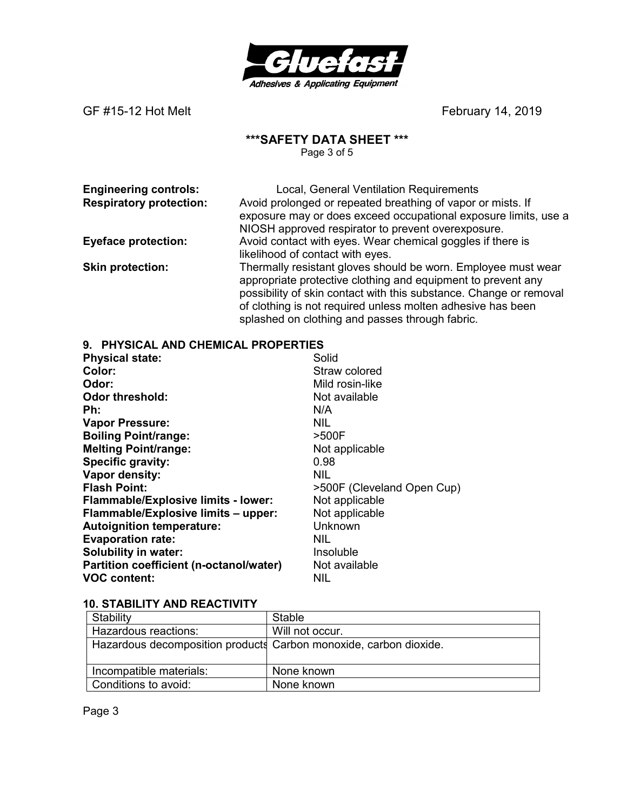

#### **\*\*\*SAFETY DATA SHEET \*\*\***

Page 3 of 5

**Engineering controls:** Local, General Ventilation Requirements<br> **Respiratory protection:** Avoid prolonged or repeated breathing of vapor of Avoid prolonged or repeated breathing of vapor or mists. If exposure may or does exceed occupational exposure limits, use a NIOSH approved respirator to prevent overexposure. **Eyeface protection:** Avoid contact with eyes. Wear chemical goggles if there is likelihood of contact with eyes.

**Skin protection:** Thermally resistant gloves should be worn. Employee must wear appropriate protective clothing and equipment to prevent any possibility of skin contact with this substance. Change or removal of clothing is not required unless molten adhesive has been splashed on clothing and passes through fabric.

#### **9. PHYSICAL AND CHEMICAL PROPERTIES**

| <b>Physical state:</b>                     | Solid                      |
|--------------------------------------------|----------------------------|
| Color:                                     | Straw colored              |
| Odor:                                      | Mild rosin-like            |
| <b>Odor threshold:</b>                     | Not available              |
| Ph:                                        | N/A                        |
| <b>Vapor Pressure:</b>                     | <b>NIL</b>                 |
| <b>Boiling Point/range:</b>                | >500F                      |
| <b>Melting Point/range:</b>                | Not applicable             |
| Specific gravity:                          | 0.98                       |
| Vapor density:                             | <b>NIL</b>                 |
| <b>Flash Point:</b>                        | >500F (Cleveland Open Cup) |
| <b>Flammable/Explosive limits - lower:</b> | Not applicable             |
| Flammable/Explosive limits - upper:        | Not applicable             |
| <b>Autoignition temperature:</b>           | Unknown                    |
| <b>Evaporation rate:</b>                   | <b>NIL</b>                 |
| <b>Solubility in water:</b>                | Insoluble                  |
| Partition coefficient (n-octanol/water)    | Not available              |
| <b>VOC content:</b>                        | NIL                        |

#### **10. STABILITY AND REACTIVITY**

| Stability               | Stable                                                            |
|-------------------------|-------------------------------------------------------------------|
| Hazardous reactions:    | Will not occur.                                                   |
|                         | Hazardous decomposition products Carbon monoxide, carbon dioxide. |
| Incompatible materials: | None known                                                        |
| Conditions to avoid:    | None known                                                        |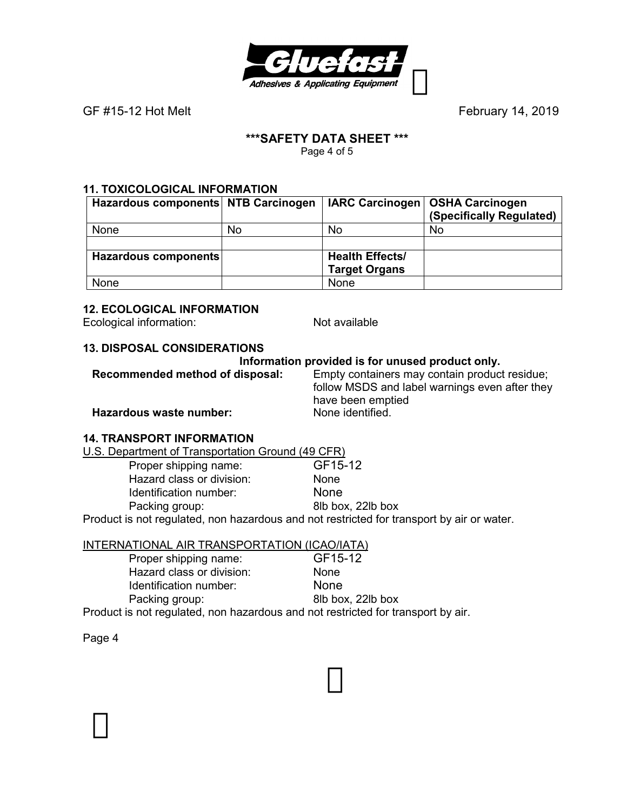

#### **\*\*\*SAFETY DATA SHEET \*\*\***  Page 4 of 5

# **11. TOXICOLOGICAL INFORMATION**

| Hazardous components NTB Carcinogen |    |                        | IARC Carcinogen   OSHA Carcinogen<br>(Specifically Regulated) |
|-------------------------------------|----|------------------------|---------------------------------------------------------------|
| None                                | No | No                     | No                                                            |
|                                     |    |                        |                                                               |
| Hazardous components                |    | <b>Health Effects/</b> |                                                               |
|                                     |    | <b>Target Organs</b>   |                                                               |
| None                                |    | None                   |                                                               |

# **12. ECOLOGICAL INFORMATION**

Ecological information: Not available

# **13. DISPOSAL CONSIDERATIONS**

# **Information provided is for unused product only.**<br>Recommended method of disposal: Empty containers may contain produc

Empty containers may contain product residue; follow MSDS and label warnings even after they have been emptied<br>None identified.

**Hazardous waste number:** 

#### **14. TRANSPORT INFORMATION**

U.S. Department of Transportation Ground (49 CFR)

| Proper shipping name:                                                                     | GF15-12           |
|-------------------------------------------------------------------------------------------|-------------------|
| Hazard class or division:                                                                 | <b>None</b>       |
| Identification number:                                                                    | <b>None</b>       |
| Packing group:                                                                            | 8lb box, 22lb box |
| Product is not regulated, non hazardous and not restricted for transport by air or water. |                   |

# INTERNATIONAL AIR TRANSPORTATION (ICAO/IATA)

| Proper shipping name:                                                            | GF15-12           |
|----------------------------------------------------------------------------------|-------------------|
| Hazard class or division:                                                        | <b>None</b>       |
| Identification number:                                                           | <b>None</b>       |
| Packing group:                                                                   | 8lb box, 22lb box |
| Product is not regulated, non hazardous and not restricted for transport by air. |                   |

Page 4